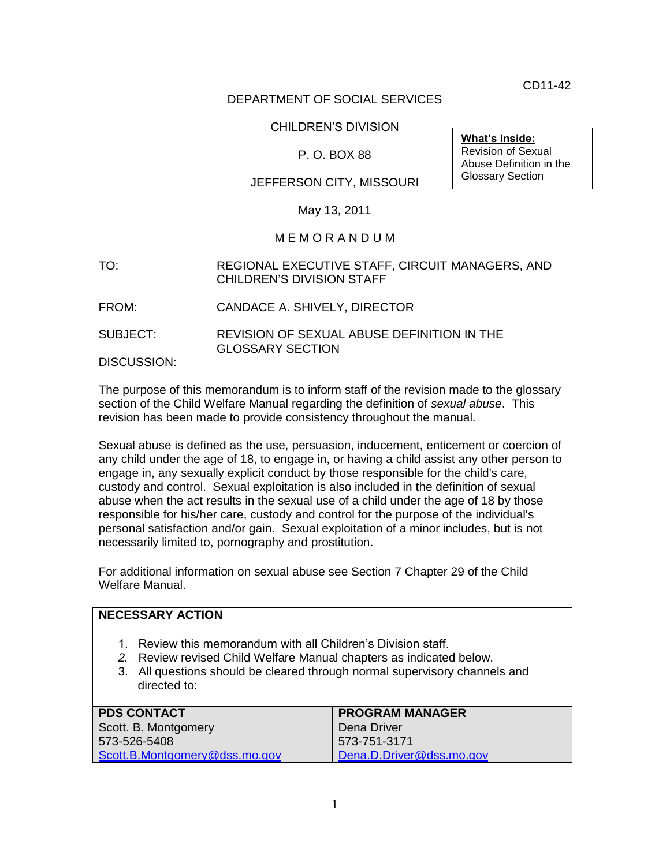CD11-42

**What's Inside:** Revision of Sexual Abuse Definition in the Glossary Section

## DEPARTMENT OF SOCIAL SERVICES

### CHILDREN'S DIVISION

## P. O. BOX 88

## JEFFERSON CITY, MISSOURI

#### May 13, 2011

#### M E M O R A N D U M

#### TO: REGIONAL EXECUTIVE STAFF, CIRCUIT MANAGERS, AND CHILDREN'S DIVISION STAFF

- FROM: CANDACE A. SHIVELY, DIRECTOR
- SUBJECT: REVISION OF SEXUAL ABUSE DEFINITION IN THE GLOSSARY SECTION

DISCUSSION:

**NECESSARY ACTION**

The purpose of this memorandum is to inform staff of the revision made to the glossary section of the Child Welfare Manual regarding the definition of *sexual abuse*. This revision has been made to provide consistency throughout the manual.

Sexual abuse is defined as the use, persuasion, inducement, enticement or coercion of any child under the age of 18, to engage in, or having a child assist any other person to engage in, any sexually explicit conduct by those responsible for the child's care, custody and control. Sexual exploitation is also included in the definition of sexual abuse when the act results in the sexual use of a child under the age of 18 by those responsible for his/her care, custody and control for the purpose of the individual's personal satisfaction and/or gain. Sexual exploitation of a minor includes, but is not necessarily limited to, pornography and prostitution.

For additional information on sexual abuse see Section 7 Chapter 29 of the Child Welfare Manual.

| 1. Review this memorandum with all Children's Division staff.<br>2. Review revised Child Welfare Manual chapters as indicated below.<br>3. All questions should be cleared through normal supervisory channels and |
|--------------------------------------------------------------------------------------------------------------------------------------------------------------------------------------------------------------------|
| <b>PROGRAM MANAGER</b>                                                                                                                                                                                             |
| Dena Driver                                                                                                                                                                                                        |
| 573-751-3171                                                                                                                                                                                                       |
| Dena.D.Driver@dss.mo.gov                                                                                                                                                                                           |
|                                                                                                                                                                                                                    |